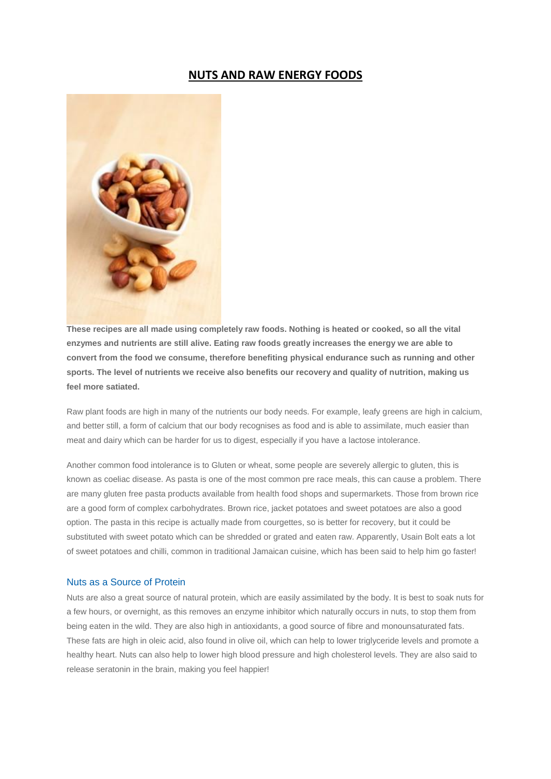# **NUTS AND RAW ENERGY FOODS**



**These recipes are all made using completely raw foods. Nothing is heated or cooked, so all the vital enzymes and nutrients are still alive. Eating raw foods greatly increases the energy we are able to convert from the food we consume, therefore benefiting physical endurance such as running and other sports. The level of nutrients we receive also benefits our recovery and quality of nutrition, making us feel more satiated.**

Raw plant foods are high in many of the nutrients our body needs. For example, leafy greens are high in calcium, and better still, a form of calcium that our body recognises as food and is able to assimilate, much easier than meat and dairy which can be harder for us to digest, especially if you have a lactose intolerance.

Another common food intolerance is to Gluten or wheat, some people are severely allergic to gluten, this is known as coeliac disease. As pasta is one of the most common pre race meals, this can cause a problem. There are many gluten free pasta products available from health food shops and supermarkets. Those from brown rice are a good form of complex carbohydrates. Brown rice, jacket potatoes and sweet potatoes are also a good option. The pasta in this recipe is actually made from courgettes, so is better for recovery, but it could be substituted with sweet potato which can be shredded or grated and eaten raw. Apparently, Usain Bolt eats a lot of sweet potatoes and chilli, common in traditional Jamaican cuisine, which has been said to help him go faster!

#### Nuts as a Source of Protein

Nuts are also a great source of natural protein, which are easily assimilated by the body. It is best to soak nuts for a few hours, or overnight, as this removes an enzyme inhibitor which naturally occurs in nuts, to stop them from being eaten in the wild. They are also high in antioxidants, a good source of fibre and monounsaturated fats. These fats are high in oleic acid, also found in olive oil, which can help to lower triglyceride levels and promote a healthy heart. Nuts can also help to lower high blood pressure and high cholesterol levels. They are also said to release seratonin in the brain, making you feel happier!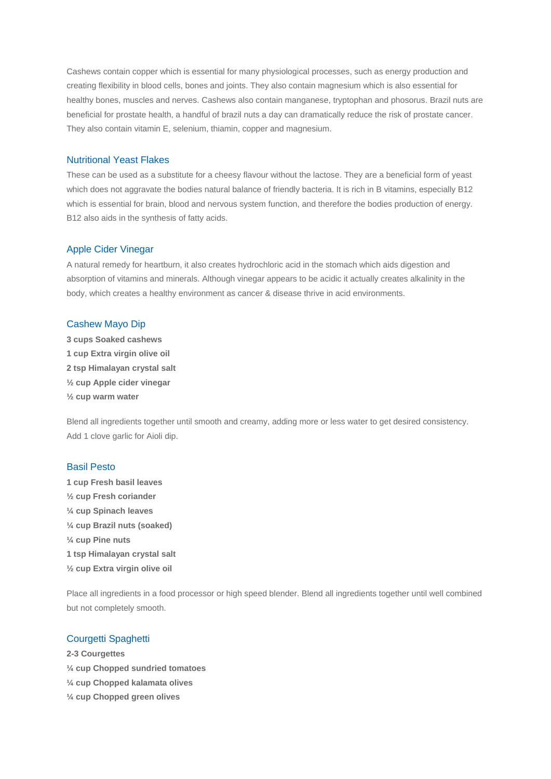Cashews contain copper which is essential for many physiological processes, such as energy production and creating flexibility in blood cells, bones and joints. They also contain magnesium which is also essential for healthy bones, muscles and nerves. Cashews also contain manganese, tryptophan and phosorus. Brazil nuts are beneficial for prostate health, a handful of brazil nuts a day can dramatically reduce the risk of prostate cancer. They also contain vitamin E, selenium, thiamin, copper and magnesium.

## Nutritional Yeast Flakes

These can be used as a substitute for a cheesy flavour without the lactose. They are a beneficial form of yeast which does not aggravate the bodies natural balance of friendly bacteria. It is rich in B vitamins, especially B12 which is essential for brain, blood and nervous system function, and therefore the bodies production of energy. B12 also aids in the synthesis of fatty acids.

#### Apple Cider Vinegar

A natural remedy for heartburn, it also creates hydrochloric acid in the stomach which aids digestion and absorption of vitamins and minerals. Although vinegar appears to be acidic it actually creates alkalinity in the body, which creates a healthy environment as cancer & disease thrive in acid environments.

#### Cashew Mayo Dip

**3 cups Soaked cashews 1 cup Extra virgin olive oil 2 tsp Himalayan crystal salt ½ cup Apple cider vinegar ½ cup warm water**

Blend all ingredients together until smooth and creamy, adding more or less water to get desired consistency. Add 1 clove garlic for Aioli dip.

#### Basil Pesto

**1 cup Fresh basil leaves ½ cup Fresh coriander ¼ cup Spinach leaves ¼ cup Brazil nuts (soaked) ¼ cup Pine nuts 1 tsp Himalayan crystal salt ½ cup Extra virgin olive oil**

Place all ingredients in a food processor or high speed blender. Blend all ingredients together until well combined but not completely smooth.

### Courgetti Spaghetti

- **2-3 Courgettes ¼ cup Chopped sundried tomatoes ¼ cup Chopped kalamata olives**
- **¼ cup Chopped green olives**